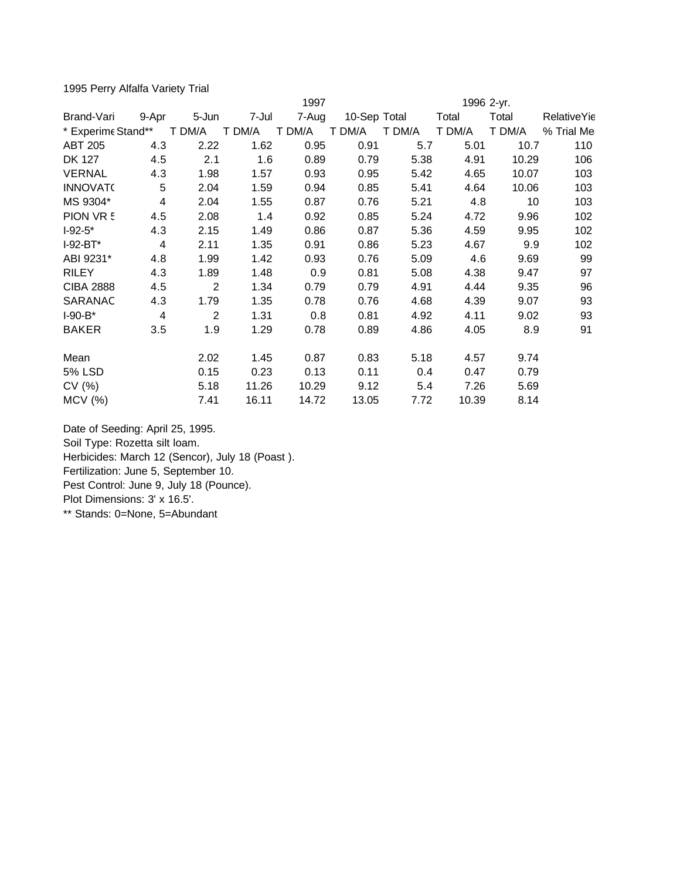1995 Perry Alfalfa Variety Trial

|                                      | 1997                    |                              |                                |                                |                               | 1996 2-yr.                 |                               |                              |                    |
|--------------------------------------|-------------------------|------------------------------|--------------------------------|--------------------------------|-------------------------------|----------------------------|-------------------------------|------------------------------|--------------------|
| Brand-Vari                           | 9-Apr                   | 5-Jun                        | 7-Jul                          | 7-Aug                          | 10-Sep Total                  |                            | Total                         | Total                        | <b>RelativeYie</b> |
| * Experime Stand**                   |                         | T DM/A                       | T DM/A                         | T DM/A                         | T DM/A                        | T DM/A                     | T DM/A                        | T DM/A                       | % Trial Me         |
| <b>ABT 205</b>                       | 4.3                     | 2.22                         | 1.62                           | 0.95                           | 0.91                          | 5.7                        | 5.01                          | 10.7                         | 110                |
| <b>DK 127</b>                        | 4.5                     | 2.1                          | 1.6                            | 0.89                           | 0.79                          | 5.38                       | 4.91                          | 10.29                        | 106                |
| <b>VERNAL</b>                        | 4.3                     | 1.98                         | 1.57                           | 0.93                           | 0.95                          | 5.42                       | 4.65                          | 10.07                        | 103                |
| <b>INNOVATO</b>                      | 5                       | 2.04                         | 1.59                           | 0.94                           | 0.85                          | 5.41                       | 4.64                          | 10.06                        | 103                |
| MS 9304*                             | $\overline{\mathbf{4}}$ | 2.04                         | 1.55                           | 0.87                           | 0.76                          | 5.21                       | 4.8                           | 10                           | 103                |
| PION VR 5                            | 4.5                     | 2.08                         | 1.4                            | 0.92                           | 0.85                          | 5.24                       | 4.72                          | 9.96                         | 102                |
| $I-92-5*$                            | 4.3                     | 2.15                         | 1.49                           | 0.86                           | 0.87                          | 5.36                       | 4.59                          | 9.95                         | 102                |
| $I-92-BT^*$                          | 4                       | 2.11                         | 1.35                           | 0.91                           | 0.86                          | 5.23                       | 4.67                          | 9.9                          | 102                |
| ABI 9231*                            | 4.8                     | 1.99                         | 1.42                           | 0.93                           | 0.76                          | 5.09                       | 4.6                           | 9.69                         | 99                 |
| <b>RILEY</b>                         | 4.3                     | 1.89                         | 1.48                           | 0.9                            | 0.81                          | 5.08                       | 4.38                          | 9.47                         | 97                 |
| <b>CIBA 2888</b>                     | 4.5                     | $\overline{2}$               | 1.34                           | 0.79                           | 0.79                          | 4.91                       | 4.44                          | 9.35                         | 96                 |
| SARANAC                              | 4.3                     | 1.79                         | 1.35                           | 0.78                           | 0.76                          | 4.68                       | 4.39                          | 9.07                         | 93                 |
| $I-90-B*$                            | 4                       | 2                            | 1.31                           | 0.8                            | 0.81                          | 4.92                       | 4.11                          | 9.02                         | 93                 |
| <b>BAKER</b>                         | 3.5                     | 1.9                          | 1.29                           | 0.78                           | 0.89                          | 4.86                       | 4.05                          | 8.9                          | 91                 |
|                                      |                         |                              |                                |                                |                               |                            |                               |                              |                    |
|                                      |                         |                              |                                |                                |                               |                            |                               |                              |                    |
|                                      |                         |                              |                                |                                |                               |                            |                               |                              |                    |
|                                      |                         |                              |                                |                                |                               |                            |                               |                              |                    |
| Mean<br>5% LSD<br>CV(%)<br>$MCV$ (%) |                         | 2.02<br>0.15<br>5.18<br>7.41 | 1.45<br>0.23<br>11.26<br>16.11 | 0.87<br>0.13<br>10.29<br>14.72 | 0.83<br>0.11<br>9.12<br>13.05 | 5.18<br>0.4<br>5.4<br>7.72 | 4.57<br>0.47<br>7.26<br>10.39 | 9.74<br>0.79<br>5.69<br>8.14 |                    |

Date of Seeding: April 25, 1995. Soil Type: Rozetta silt loam. Herbicides: March 12 (Sencor), July 18 (Poast ). Fertilization: June 5, September 10. Pest Control: June 9, July 18 (Pounce). Plot Dimensions: 3' x 16.5'.

\*\* Stands: 0=None, 5=Abundant